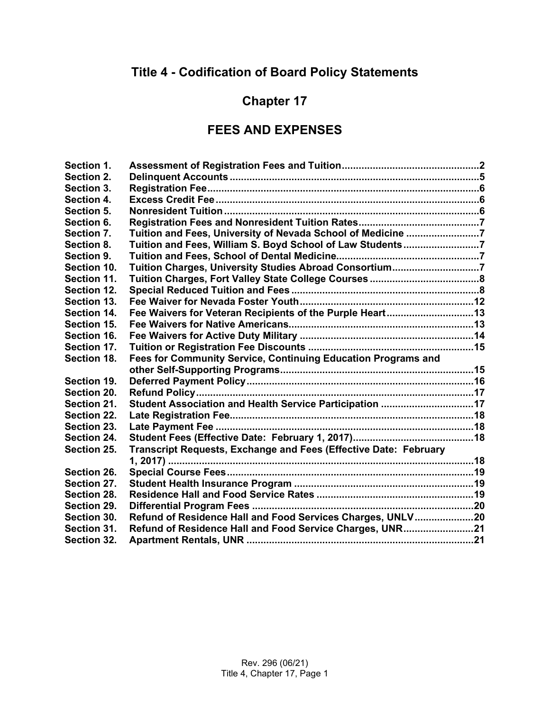# **Title 4 - Codification of Board Policy Statements**

# **Chapter 17**

#### **FEES AND EXPENSES**

| Section 1.  |                                                                  |  |
|-------------|------------------------------------------------------------------|--|
| Section 2.  |                                                                  |  |
| Section 3.  |                                                                  |  |
| Section 4.  |                                                                  |  |
| Section 5.  |                                                                  |  |
| Section 6.  |                                                                  |  |
| Section 7.  | Tuition and Fees, University of Nevada School of Medicine 7      |  |
| Section 8.  | Tuition and Fees, William S. Boyd School of Law Students7        |  |
| Section 9.  |                                                                  |  |
| Section 10. | Tuition Charges, University Studies Abroad Consortium7           |  |
| Section 11. |                                                                  |  |
| Section 12. |                                                                  |  |
| Section 13. |                                                                  |  |
| Section 14. | Fee Waivers for Veteran Recipients of the Purple Heart13         |  |
| Section 15. |                                                                  |  |
| Section 16. |                                                                  |  |
| Section 17. |                                                                  |  |
| Section 18. | Fees for Community Service, Continuing Education Programs and    |  |
|             |                                                                  |  |
| Section 19. |                                                                  |  |
| Section 20. |                                                                  |  |
| Section 21. | Student Association and Health Service Participation 17          |  |
| Section 22. |                                                                  |  |
| Section 23. |                                                                  |  |
| Section 24. |                                                                  |  |
| Section 25. | Transcript Requests, Exchange and Fees (Effective Date: February |  |
|             |                                                                  |  |
| Section 26. |                                                                  |  |
| Section 27. |                                                                  |  |
| Section 28. |                                                                  |  |
| Section 29. |                                                                  |  |
| Section 30. | Refund of Residence Hall and Food Services Charges, UNLV20       |  |
| Section 31. | Refund of Residence Hall and Food Service Charges, UNR21         |  |
| Section 32. |                                                                  |  |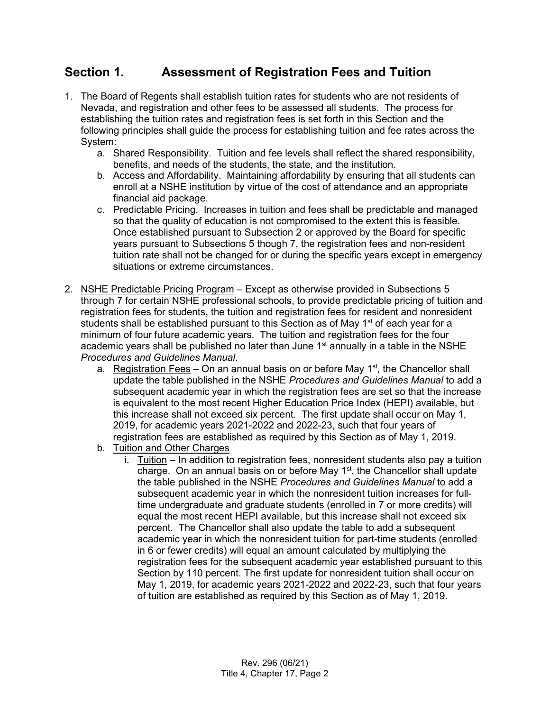## <span id="page-1-0"></span>**Section 1. Assessment of Registration Fees and Tuition**

- 1. The Board of Regents shall establish tuition rates for students who are not residents of Nevada, and registration and other fees to be assessed all students. The process for establishing the tuition rates and registration fees is set forth in this Section and the following principles shall guide the process for establishing tuition and fee rates across the System:
	- a. Shared Responsibility. Tuition and fee levels shall reflect the shared responsibility, benefits, and needs of the students, the state, and the institution.
	- b. Access and Affordability. Maintaining affordability by ensuring that all students can enroll at a NSHE institution by virtue of the cost of attendance and an appropriate financial aid package.
	- c. Predictable Pricing. Increases in tuition and fees shall be predictable and managed so that the quality of education is not compromised to the extent this is feasible. Once established pursuant to Subsection 2 or approved by the Board for specific years pursuant to Subsections 5 though 7, the registration fees and non-resident tuition rate shall not be changed for or during the specific years except in emergency situations or extreme circumstances.
- 2. NSHE Predictable Pricing Program Except as otherwise provided in Subsections 5 through 7 for certain NSHE professional schools, to provide predictable pricing of tuition and registration fees for students, the tuition and registration fees for resident and nonresident students shall be established pursuant to this Section as of May 1<sup>st</sup> of each year for a minimum of four future academic years. The tuition and registration fees for the four academic years shall be published no later than June 1<sup>st</sup> annually in a table in the NSHE *Procedures and Guidelines Manual*.
	- a. Registration Fees On an annual basis on or before May  $1<sup>st</sup>$ , the Chancellor shall update the table published in the NSHE *Procedures and Guidelines Manual* to add a subsequent academic year in which the registration fees are set so that the increase is equivalent to the most recent Higher Education Price Index (HEPI) available, but this increase shall not exceed six percent. The first update shall occur on May 1, 2019, for academic years 2021-2022 and 2022-23, such that four years of registration fees are established as required by this Section as of May 1, 2019.
	- b. Tuition and Other Charges
		- i. Tuition In addition to registration fees, nonresident students also pay a tuition charge. On an annual basis on or before May  $1^{st}$ , the Chancellor shall update the table published in the NSHE *Procedures and Guidelines Manual* to add a subsequent academic year in which the nonresident tuition increases for fulltime undergraduate and graduate students (enrolled in 7 or more credits) will equal the most recent HEPI available, but this increase shall not exceed six percent. The Chancellor shall also update the table to add a subsequent academic year in which the nonresident tuition for part-time students (enrolled in 6 or fewer credits) will equal an amount calculated by multiplying the registration fees for the subsequent academic year established pursuant to this Section by 110 percent. The first update for nonresident tuition shall occur on May 1, 2019, for academic years 2021-2022 and 2022-23, such that four years of tuition are established as required by this Section as of May 1, 2019.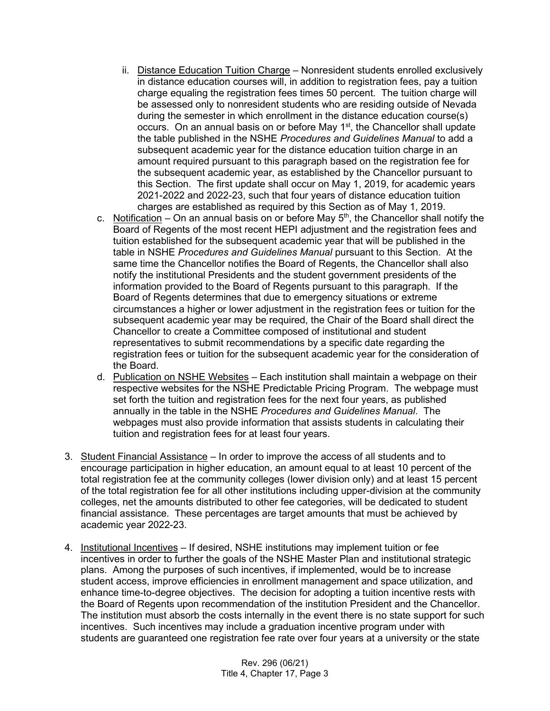- ii. Distance Education Tuition Charge Nonresident students enrolled exclusively in distance education courses will, in addition to registration fees, pay a tuition charge equaling the registration fees times 50 percent. The tuition charge will be assessed only to nonresident students who are residing outside of Nevada during the semester in which enrollment in the distance education course(s) occurs. On an annual basis on or before May 1<sup>st</sup>, the Chancellor shall update the table published in the NSHE *Procedures and Guidelines Manual* to add a subsequent academic year for the distance education tuition charge in an amount required pursuant to this paragraph based on the registration fee for the subsequent academic year, as established by the Chancellor pursuant to this Section. The first update shall occur on May 1, 2019, for academic years 2021-2022 and 2022-23, such that four years of distance education tuition charges are established as required by this Section as of May 1, 2019.
- c. Notification On an annual basis on or before May  $5<sup>th</sup>$ , the Chancellor shall notify the Board of Regents of the most recent HEPI adjustment and the registration fees and tuition established for the subsequent academic year that will be published in the table in NSHE *Procedures and Guidelines Manual* pursuant to this Section. At the same time the Chancellor notifies the Board of Regents, the Chancellor shall also notify the institutional Presidents and the student government presidents of the information provided to the Board of Regents pursuant to this paragraph. If the Board of Regents determines that due to emergency situations or extreme circumstances a higher or lower adjustment in the registration fees or tuition for the subsequent academic year may be required, the Chair of the Board shall direct the Chancellor to create a Committee composed of institutional and student representatives to submit recommendations by a specific date regarding the registration fees or tuition for the subsequent academic year for the consideration of the Board.
- d. Publication on NSHE Websites Each institution shall maintain a webpage on their respective websites for the NSHE Predictable Pricing Program. The webpage must set forth the tuition and registration fees for the next four years, as published annually in the table in the NSHE *Procedures and Guidelines Manual*. The webpages must also provide information that assists students in calculating their tuition and registration fees for at least four years.
- 3. Student Financial Assistance In order to improve the access of all students and to encourage participation in higher education, an amount equal to at least 10 percent of the total registration fee at the community colleges (lower division only) and at least 15 percent of the total registration fee for all other institutions including upper-division at the community colleges, net the amounts distributed to other fee categories, will be dedicated to student financial assistance. These percentages are target amounts that must be achieved by academic year 2022-23.
- 4. Institutional Incentives If desired, NSHE institutions may implement tuition or fee incentives in order to further the goals of the NSHE Master Plan and institutional strategic plans. Among the purposes of such incentives, if implemented, would be to increase student access, improve efficiencies in enrollment management and space utilization, and enhance time-to-degree objectives. The decision for adopting a tuition incentive rests with the Board of Regents upon recommendation of the institution President and the Chancellor. The institution must absorb the costs internally in the event there is no state support for such incentives. Such incentives may include a graduation incentive program under with students are guaranteed one registration fee rate over four years at a university or the state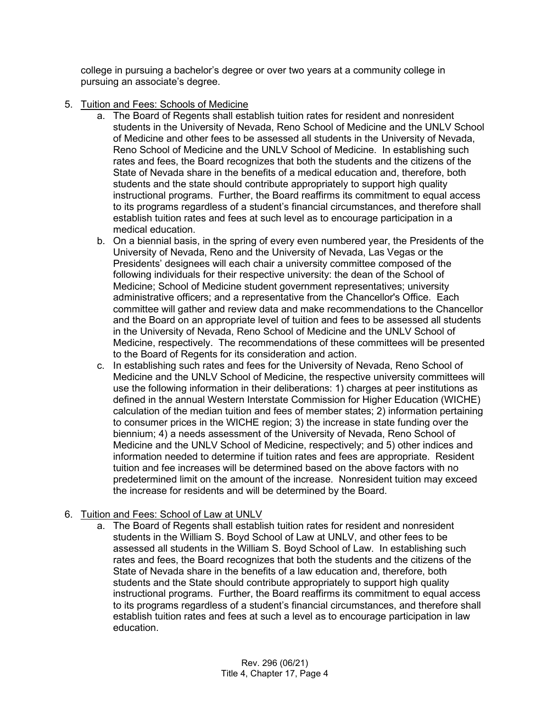college in pursuing a bachelor's degree or over two years at a community college in pursuing an associate's degree.

- 5. Tuition and Fees: Schools of Medicine
	- a. The Board of Regents shall establish tuition rates for resident and nonresident students in the University of Nevada, Reno School of Medicine and the UNLV School of Medicine and other fees to be assessed all students in the University of Nevada, Reno School of Medicine and the UNLV School of Medicine. In establishing such rates and fees, the Board recognizes that both the students and the citizens of the State of Nevada share in the benefits of a medical education and, therefore, both students and the state should contribute appropriately to support high quality instructional programs. Further, the Board reaffirms its commitment to equal access to its programs regardless of a student's financial circumstances, and therefore shall establish tuition rates and fees at such level as to encourage participation in a medical education.
	- b. On a biennial basis, in the spring of every even numbered year, the Presidents of the University of Nevada, Reno and the University of Nevada, Las Vegas or the Presidents' designees will each chair a university committee composed of the following individuals for their respective university: the dean of the School of Medicine; School of Medicine student government representatives; university administrative officers; and a representative from the Chancellor's Office. Each committee will gather and review data and make recommendations to the Chancellor and the Board on an appropriate level of tuition and fees to be assessed all students in the University of Nevada, Reno School of Medicine and the UNLV School of Medicine, respectively. The recommendations of these committees will be presented to the Board of Regents for its consideration and action.
	- c. In establishing such rates and fees for the University of Nevada, Reno School of Medicine and the UNLV School of Medicine, the respective university committees will use the following information in their deliberations: 1) charges at peer institutions as defined in the annual Western Interstate Commission for Higher Education (WICHE) calculation of the median tuition and fees of member states; 2) information pertaining to consumer prices in the WICHE region; 3) the increase in state funding over the biennium; 4) a needs assessment of the University of Nevada, Reno School of Medicine and the UNLV School of Medicine, respectively; and 5) other indices and information needed to determine if tuition rates and fees are appropriate. Resident tuition and fee increases will be determined based on the above factors with no predetermined limit on the amount of the increase. Nonresident tuition may exceed the increase for residents and will be determined by the Board.

#### 6. Tuition and Fees: School of Law at UNLV

a. The Board of Regents shall establish tuition rates for resident and nonresident students in the William S. Boyd School of Law at UNLV, and other fees to be assessed all students in the William S. Boyd School of Law. In establishing such rates and fees, the Board recognizes that both the students and the citizens of the State of Nevada share in the benefits of a law education and, therefore, both students and the State should contribute appropriately to support high quality instructional programs. Further, the Board reaffirms its commitment to equal access to its programs regardless of a student's financial circumstances, and therefore shall establish tuition rates and fees at such a level as to encourage participation in law education.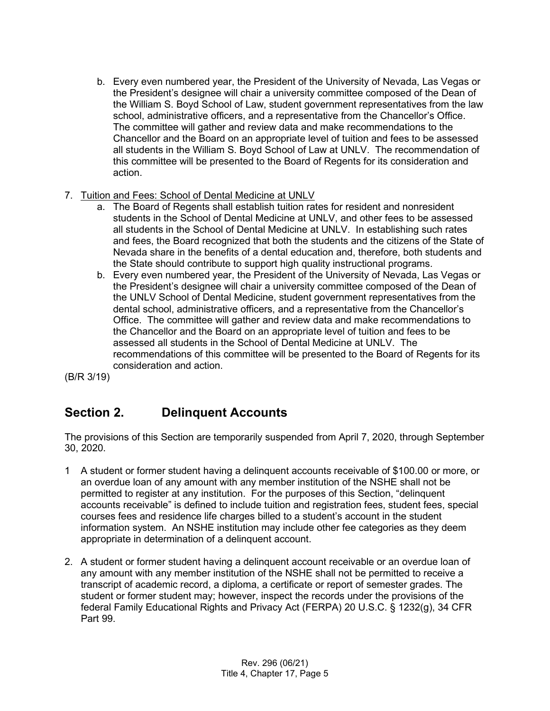- b. Every even numbered year, the President of the University of Nevada, Las Vegas or the President's designee will chair a university committee composed of the Dean of the William S. Boyd School of Law, student government representatives from the law school, administrative officers, and a representative from the Chancellor's Office. The committee will gather and review data and make recommendations to the Chancellor and the Board on an appropriate level of tuition and fees to be assessed all students in the William S. Boyd School of Law at UNLV. The recommendation of this committee will be presented to the Board of Regents for its consideration and action.
- 7. Tuition and Fees: School of Dental Medicine at UNLV
	- a. The Board of Regents shall establish tuition rates for resident and nonresident students in the School of Dental Medicine at UNLV, and other fees to be assessed all students in the School of Dental Medicine at UNLV. In establishing such rates and fees, the Board recognized that both the students and the citizens of the State of Nevada share in the benefits of a dental education and, therefore, both students and the State should contribute to support high quality instructional programs.
	- b. Every even numbered year, the President of the University of Nevada, Las Vegas or the President's designee will chair a university committee composed of the Dean of the UNLV School of Dental Medicine, student government representatives from the dental school, administrative officers, and a representative from the Chancellor's Office. The committee will gather and review data and make recommendations to the Chancellor and the Board on an appropriate level of tuition and fees to be assessed all students in the School of Dental Medicine at UNLV. The recommendations of this committee will be presented to the Board of Regents for its consideration and action.

(B/R 3/19)

## <span id="page-4-0"></span>**Section 2. Delinquent Accounts**

The provisions of this Section are temporarily suspended from April 7, 2020, through September 30, 2020.

- 1 A student or former student having a delinquent accounts receivable of \$100.00 or more, or an overdue loan of any amount with any member institution of the NSHE shall not be permitted to register at any institution. For the purposes of this Section, "delinquent accounts receivable" is defined to include tuition and registration fees, student fees, special courses fees and residence life charges billed to a student's account in the student information system. An NSHE institution may include other fee categories as they deem appropriate in determination of a delinquent account.
- 2. A student or former student having a delinquent account receivable or an overdue loan of any amount with any member institution of the NSHE shall not be permitted to receive a transcript of academic record, a diploma, a certificate or report of semester grades. The student or former student may; however, inspect the records under the provisions of the federal Family Educational Rights and Privacy Act (FERPA) 20 U.S.C. § 1232(g), 34 CFR Part 99.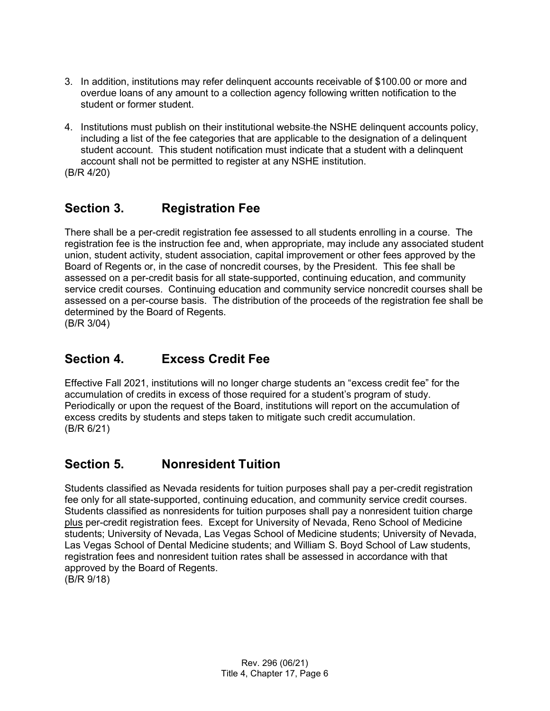- 3. In addition, institutions may refer delinquent accounts receivable of \$100.00 or more and overdue loans of any amount to a collection agency following written notification to the student or former student.
- 4. Institutions must publish on their institutional website the NSHE delinquent accounts policy, including a list of the fee categories that are applicable to the designation of a delinquent student account. This student notification must indicate that a student with a delinquent account shall not be permitted to register at any NSHE institution.

(B/R 4/20)

#### <span id="page-5-0"></span>**Section 3. Registration Fee**

There shall be a per-credit registration fee assessed to all students enrolling in a course. The registration fee is the instruction fee and, when appropriate, may include any associated student union, student activity, student association, capital improvement or other fees approved by the Board of Regents or, in the case of noncredit courses, by the President. This fee shall be assessed on a per-credit basis for all state-supported, continuing education, and community service credit courses. Continuing education and community service noncredit courses shall be assessed on a per-course basis. The distribution of the proceeds of the registration fee shall be determined by the Board of Regents. (B/R 3/04)

#### <span id="page-5-1"></span>**Section 4. Excess Credit Fee**

Effective Fall 2021, institutions will no longer charge students an "excess credit fee" for the accumulation of credits in excess of those required for a student's program of study. Periodically or upon the request of the Board, institutions will report on the accumulation of excess credits by students and steps taken to mitigate such credit accumulation. (B/R 6/21)

#### <span id="page-5-2"></span>**Section 5. Nonresident Tuition**

Students classified as Nevada residents for tuition purposes shall pay a per-credit registration fee only for all state-supported, continuing education, and community service credit courses. Students classified as nonresidents for tuition purposes shall pay a nonresident tuition charge plus per-credit registration fees. Except for University of Nevada, Reno School of Medicine students; University of Nevada, Las Vegas School of Medicine students; University of Nevada, Las Vegas School of Dental Medicine students; and William S. Boyd School of Law students, registration fees and nonresident tuition rates shall be assessed in accordance with that approved by the Board of Regents. (B/R 9/18)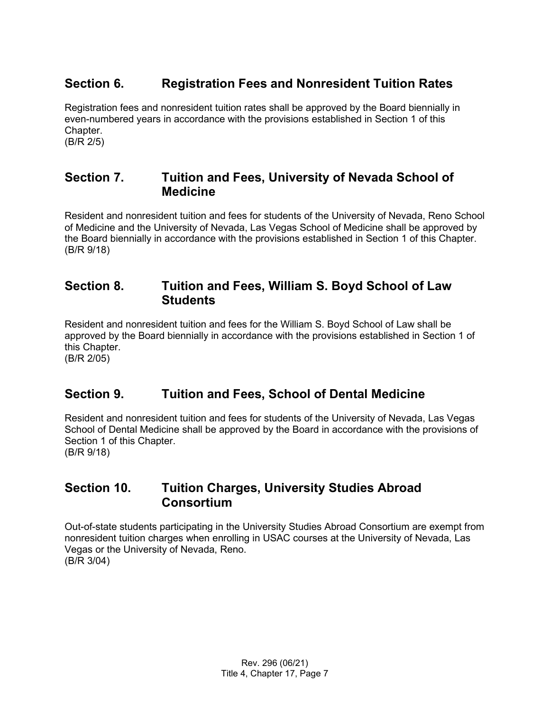#### <span id="page-6-0"></span>**Section 6. Registration Fees and Nonresident Tuition Rates**

Registration fees and nonresident tuition rates shall be approved by the Board biennially in even-numbered years in accordance with the provisions established in Section 1 of this Chapter. (B/R 2/5)

<span id="page-6-1"></span>**Section 7. Tuition and Fees, University of Nevada School of Medicine**

Resident and nonresident tuition and fees for students of the University of Nevada, Reno School of Medicine and the University of Nevada, Las Vegas School of Medicine shall be approved by the Board biennially in accordance with the provisions established in Section 1 of this Chapter. (B/R 9/18)

#### <span id="page-6-2"></span>**Section 8. Tuition and Fees, William S. Boyd School of Law Students**

Resident and nonresident tuition and fees for the William S. Boyd School of Law shall be approved by the Board biennially in accordance with the provisions established in Section 1 of this Chapter.

(B/R 2/05)

## <span id="page-6-3"></span>**Section 9. Tuition and Fees, School of Dental Medicine**

Resident and nonresident tuition and fees for students of the University of Nevada, Las Vegas School of Dental Medicine shall be approved by the Board in accordance with the provisions of Section 1 of this Chapter. (B/R 9/18)

#### <span id="page-6-4"></span>**Section 10. Tuition Charges, University Studies Abroad Consortium**

Out-of-state students participating in the University Studies Abroad Consortium are exempt from nonresident tuition charges when enrolling in USAC courses at the University of Nevada, Las Vegas or the University of Nevada, Reno. (B/R 3/04)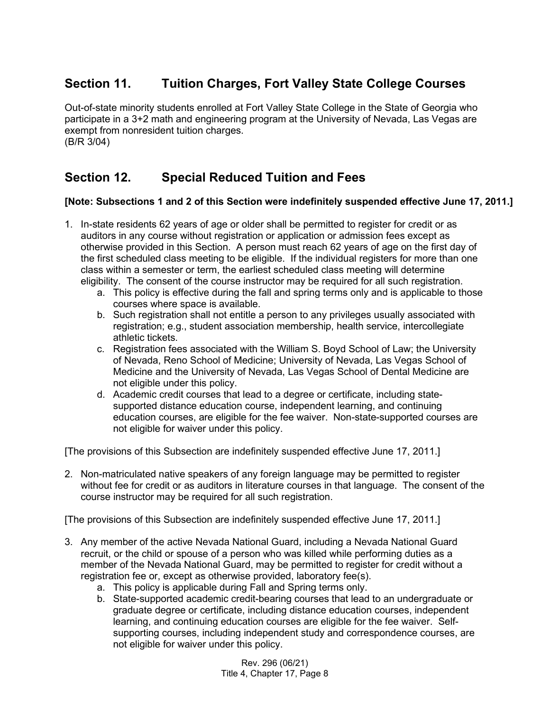## <span id="page-7-0"></span>**Section 11. Tuition Charges, Fort Valley State College Courses**

Out-of-state minority students enrolled at Fort Valley State College in the State of Georgia who participate in a 3+2 math and engineering program at the University of Nevada, Las Vegas are exempt from nonresident tuition charges. (B/R 3/04)

## <span id="page-7-1"></span>**Section 12. Special Reduced Tuition and Fees**

#### **[Note: Subsections 1 and 2 of this Section were indefinitely suspended effective June 17, 2011.]**

- 1. In-state residents 62 years of age or older shall be permitted to register for credit or as auditors in any course without registration or application or admission fees except as otherwise provided in this Section. A person must reach 62 years of age on the first day of the first scheduled class meeting to be eligible. If the individual registers for more than one class within a semester or term, the earliest scheduled class meeting will determine eligibility. The consent of the course instructor may be required for all such registration.
	- a. This policy is effective during the fall and spring terms only and is applicable to those courses where space is available.
	- b. Such registration shall not entitle a person to any privileges usually associated with registration; e.g., student association membership, health service, intercollegiate athletic tickets.
	- c. Registration fees associated with the William S. Boyd School of Law; the University of Nevada, Reno School of Medicine; University of Nevada, Las Vegas School of Medicine and the University of Nevada, Las Vegas School of Dental Medicine are not eligible under this policy.
	- d. Academic credit courses that lead to a degree or certificate, including statesupported distance education course, independent learning, and continuing education courses, are eligible for the fee waiver. Non-state-supported courses are not eligible for waiver under this policy.

[The provisions of this Subsection are indefinitely suspended effective June 17, 2011.]

2. Non-matriculated native speakers of any foreign language may be permitted to register without fee for credit or as auditors in literature courses in that language. The consent of the course instructor may be required for all such registration.

[The provisions of this Subsection are indefinitely suspended effective June 17, 2011.]

- 3. Any member of the active Nevada National Guard, including a Nevada National Guard recruit, or the child or spouse of a person who was killed while performing duties as a member of the Nevada National Guard, may be permitted to register for credit without a registration fee or, except as otherwise provided, laboratory fee(s).
	- a. This policy is applicable during Fall and Spring terms only.
	- b. State-supported academic credit-bearing courses that lead to an undergraduate or graduate degree or certificate, including distance education courses, independent learning, and continuing education courses are eligible for the fee waiver. Selfsupporting courses, including independent study and correspondence courses, are not eligible for waiver under this policy.

Rev. 296 (06/21) Title 4, Chapter 17, Page 8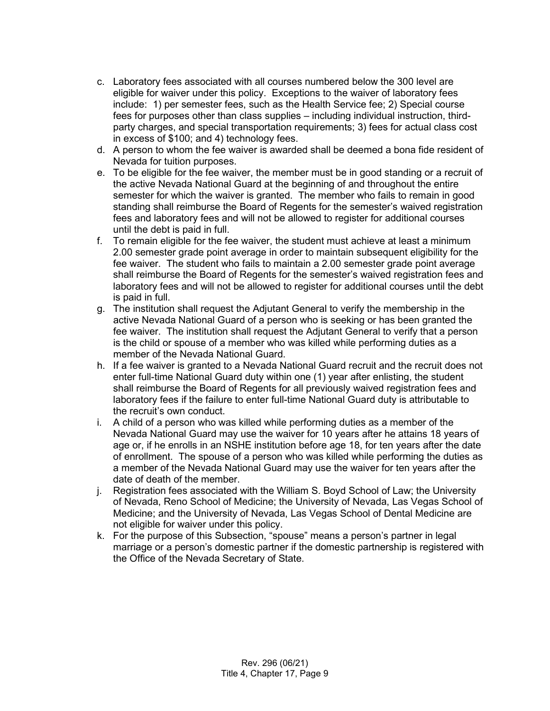- c. Laboratory fees associated with all courses numbered below the 300 level are eligible for waiver under this policy. Exceptions to the waiver of laboratory fees include: 1) per semester fees, such as the Health Service fee; 2) Special course fees for purposes other than class supplies – including individual instruction, thirdparty charges, and special transportation requirements; 3) fees for actual class cost in excess of \$100; and 4) technology fees.
- d. A person to whom the fee waiver is awarded shall be deemed a bona fide resident of Nevada for tuition purposes.
- e. To be eligible for the fee waiver, the member must be in good standing or a recruit of the active Nevada National Guard at the beginning of and throughout the entire semester for which the waiver is granted. The member who fails to remain in good standing shall reimburse the Board of Regents for the semester's waived registration fees and laboratory fees and will not be allowed to register for additional courses until the debt is paid in full.
- f. To remain eligible for the fee waiver, the student must achieve at least a minimum 2.00 semester grade point average in order to maintain subsequent eligibility for the fee waiver. The student who fails to maintain a 2.00 semester grade point average shall reimburse the Board of Regents for the semester's waived registration fees and laboratory fees and will not be allowed to register for additional courses until the debt is paid in full.
- g. The institution shall request the Adjutant General to verify the membership in the active Nevada National Guard of a person who is seeking or has been granted the fee waiver. The institution shall request the Adjutant General to verify that a person is the child or spouse of a member who was killed while performing duties as a member of the Nevada National Guard.
- h. If a fee waiver is granted to a Nevada National Guard recruit and the recruit does not enter full-time National Guard duty within one (1) year after enlisting, the student shall reimburse the Board of Regents for all previously waived registration fees and laboratory fees if the failure to enter full-time National Guard duty is attributable to the recruit's own conduct.
- i. A child of a person who was killed while performing duties as a member of the Nevada National Guard may use the waiver for 10 years after he attains 18 years of age or, if he enrolls in an NSHE institution before age 18, for ten years after the date of enrollment. The spouse of a person who was killed while performing the duties as a member of the Nevada National Guard may use the waiver for ten years after the date of death of the member.
- j. Registration fees associated with the William S. Boyd School of Law; the University of Nevada, Reno School of Medicine; the University of Nevada, Las Vegas School of Medicine; and the University of Nevada, Las Vegas School of Dental Medicine are not eligible for waiver under this policy.
- k. For the purpose of this Subsection, "spouse" means a person's partner in legal marriage or a person's domestic partner if the domestic partnership is registered with the Office of the Nevada Secretary of State.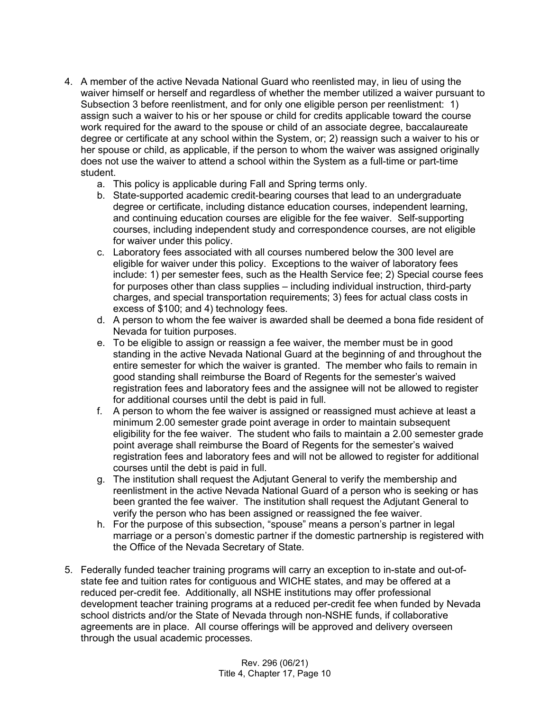- 4. A member of the active Nevada National Guard who reenlisted may, in lieu of using the waiver himself or herself and regardless of whether the member utilized a waiver pursuant to Subsection 3 before reenlistment, and for only one eligible person per reenlistment: 1) assign such a waiver to his or her spouse or child for credits applicable toward the course work required for the award to the spouse or child of an associate degree, baccalaureate degree or certificate at any school within the System, or; 2) reassign such a waiver to his or her spouse or child, as applicable, if the person to whom the waiver was assigned originally does not use the waiver to attend a school within the System as a full-time or part-time student.
	- a. This policy is applicable during Fall and Spring terms only.
	- b. State-supported academic credit-bearing courses that lead to an undergraduate degree or certificate, including distance education courses, independent learning, and continuing education courses are eligible for the fee waiver. Self-supporting courses, including independent study and correspondence courses, are not eligible for waiver under this policy.
	- c. Laboratory fees associated with all courses numbered below the 300 level are eligible for waiver under this policy. Exceptions to the waiver of laboratory fees include: 1) per semester fees, such as the Health Service fee; 2) Special course fees for purposes other than class supplies – including individual instruction, third-party charges, and special transportation requirements; 3) fees for actual class costs in excess of \$100; and 4) technology fees.
	- d. A person to whom the fee waiver is awarded shall be deemed a bona fide resident of Nevada for tuition purposes.
	- e. To be eligible to assign or reassign a fee waiver, the member must be in good standing in the active Nevada National Guard at the beginning of and throughout the entire semester for which the waiver is granted. The member who fails to remain in good standing shall reimburse the Board of Regents for the semester's waived registration fees and laboratory fees and the assignee will not be allowed to register for additional courses until the debt is paid in full.
	- f. A person to whom the fee waiver is assigned or reassigned must achieve at least a minimum 2.00 semester grade point average in order to maintain subsequent eligibility for the fee waiver. The student who fails to maintain a 2.00 semester grade point average shall reimburse the Board of Regents for the semester's waived registration fees and laboratory fees and will not be allowed to register for additional courses until the debt is paid in full.
	- g. The institution shall request the Adjutant General to verify the membership and reenlistment in the active Nevada National Guard of a person who is seeking or has been granted the fee waiver. The institution shall request the Adjutant General to verify the person who has been assigned or reassigned the fee waiver.
	- h. For the purpose of this subsection, "spouse" means a person's partner in legal marriage or a person's domestic partner if the domestic partnership is registered with the Office of the Nevada Secretary of State.
- 5. Federally funded teacher training programs will carry an exception to in-state and out-ofstate fee and tuition rates for contiguous and WICHE states, and may be offered at a reduced per-credit fee. Additionally, all NSHE institutions may offer professional development teacher training programs at a reduced per-credit fee when funded by Nevada school districts and/or the State of Nevada through non-NSHE funds, if collaborative agreements are in place. All course offerings will be approved and delivery overseen through the usual academic processes.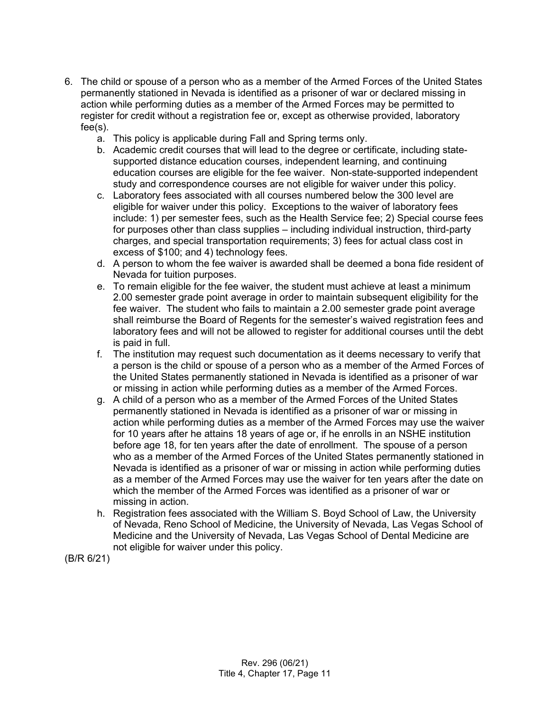- 6. The child or spouse of a person who as a member of the Armed Forces of the United States permanently stationed in Nevada is identified as a prisoner of war or declared missing in action while performing duties as a member of the Armed Forces may be permitted to register for credit without a registration fee or, except as otherwise provided, laboratory fee(s).
	- a. This policy is applicable during Fall and Spring terms only.
	- b. Academic credit courses that will lead to the degree or certificate, including statesupported distance education courses, independent learning, and continuing education courses are eligible for the fee waiver. Non-state-supported independent study and correspondence courses are not eligible for waiver under this policy.
	- c. Laboratory fees associated with all courses numbered below the 300 level are eligible for waiver under this policy. Exceptions to the waiver of laboratory fees include: 1) per semester fees, such as the Health Service fee; 2) Special course fees for purposes other than class supplies – including individual instruction, third-party charges, and special transportation requirements; 3) fees for actual class cost in excess of \$100; and 4) technology fees.
	- d. A person to whom the fee waiver is awarded shall be deemed a bona fide resident of Nevada for tuition purposes.
	- e. To remain eligible for the fee waiver, the student must achieve at least a minimum 2.00 semester grade point average in order to maintain subsequent eligibility for the fee waiver. The student who fails to maintain a 2.00 semester grade point average shall reimburse the Board of Regents for the semester's waived registration fees and laboratory fees and will not be allowed to register for additional courses until the debt is paid in full.
	- f. The institution may request such documentation as it deems necessary to verify that a person is the child or spouse of a person who as a member of the Armed Forces of the United States permanently stationed in Nevada is identified as a prisoner of war or missing in action while performing duties as a member of the Armed Forces.
	- g. A child of a person who as a member of the Armed Forces of the United States permanently stationed in Nevada is identified as a prisoner of war or missing in action while performing duties as a member of the Armed Forces may use the waiver for 10 years after he attains 18 years of age or, if he enrolls in an NSHE institution before age 18, for ten years after the date of enrollment. The spouse of a person who as a member of the Armed Forces of the United States permanently stationed in Nevada is identified as a prisoner of war or missing in action while performing duties as a member of the Armed Forces may use the waiver for ten years after the date on which the member of the Armed Forces was identified as a prisoner of war or missing in action.
	- h. Registration fees associated with the William S. Boyd School of Law, the University of Nevada, Reno School of Medicine, the University of Nevada, Las Vegas School of Medicine and the University of Nevada, Las Vegas School of Dental Medicine are not eligible for waiver under this policy.

(B/R 6/21)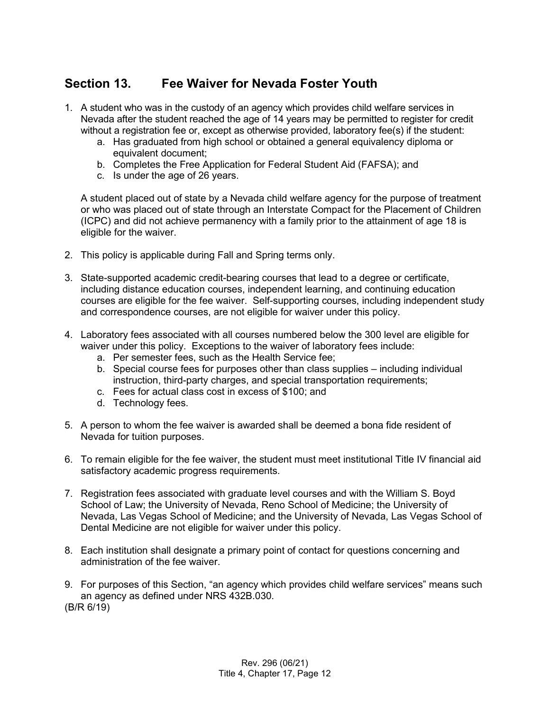## <span id="page-11-0"></span>**Section 13. Fee Waiver for Nevada Foster Youth**

- 1. A student who was in the custody of an agency which provides child welfare services in Nevada after the student reached the age of 14 years may be permitted to register for credit without a registration fee or, except as otherwise provided, laboratory fee(s) if the student:
	- a. Has graduated from high school or obtained a general equivalency diploma or equivalent document;
	- b. Completes the Free Application for Federal Student Aid (FAFSA); and
	- c. Is under the age of 26 years.

A student placed out of state by a Nevada child welfare agency for the purpose of treatment or who was placed out of state through an Interstate Compact for the Placement of Children (ICPC) and did not achieve permanency with a family prior to the attainment of age 18 is eligible for the waiver.

- 2. This policy is applicable during Fall and Spring terms only.
- 3. State-supported academic credit-bearing courses that lead to a degree or certificate, including distance education courses, independent learning, and continuing education courses are eligible for the fee waiver. Self-supporting courses, including independent study and correspondence courses, are not eligible for waiver under this policy.
- 4. Laboratory fees associated with all courses numbered below the 300 level are eligible for waiver under this policy. Exceptions to the waiver of laboratory fees include:
	- a. Per semester fees, such as the Health Service fee;
	- b. Special course fees for purposes other than class supplies including individual instruction, third-party charges, and special transportation requirements;
	- c. Fees for actual class cost in excess of \$100; and
	- d. Technology fees.
- 5. A person to whom the fee waiver is awarded shall be deemed a bona fide resident of Nevada for tuition purposes.
- 6. To remain eligible for the fee waiver, the student must meet institutional Title IV financial aid satisfactory academic progress requirements.
- 7. Registration fees associated with graduate level courses and with the William S. Boyd School of Law; the University of Nevada, Reno School of Medicine; the University of Nevada, Las Vegas School of Medicine; and the University of Nevada, Las Vegas School of Dental Medicine are not eligible for waiver under this policy.
- 8. Each institution shall designate a primary point of contact for questions concerning and administration of the fee waiver.
- 9. For purposes of this Section, "an agency which provides child welfare services" means such an agency as defined under NRS 432B.030. (B/R 6/19)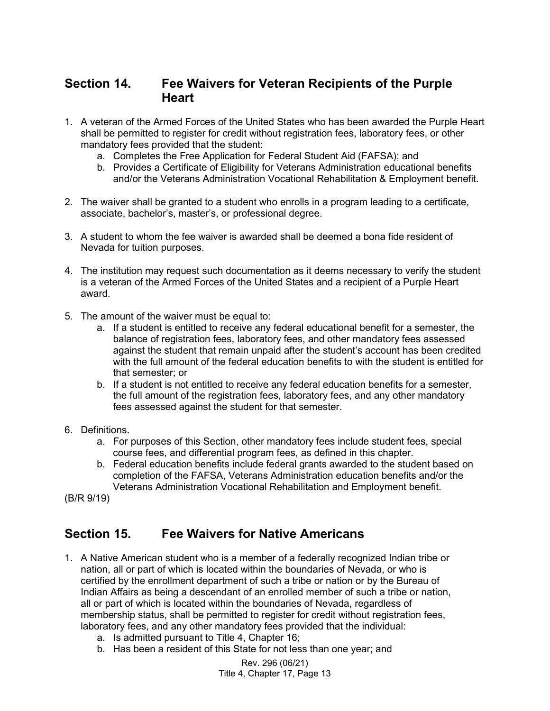#### <span id="page-12-0"></span>**Section 14. Fee Waivers for Veteran Recipients of the Purple Heart**

- 1. A veteran of the Armed Forces of the United States who has been awarded the Purple Heart shall be permitted to register for credit without registration fees, laboratory fees, or other mandatory fees provided that the student:
	- a. Completes the Free Application for Federal Student Aid (FAFSA); and
	- b. Provides a Certificate of Eligibility for Veterans Administration educational benefits and/or the Veterans Administration Vocational Rehabilitation & Employment benefit.
- 2. The waiver shall be granted to a student who enrolls in a program leading to a certificate, associate, bachelor's, master's, or professional degree.
- 3. A student to whom the fee waiver is awarded shall be deemed a bona fide resident of Nevada for tuition purposes.
- 4. The institution may request such documentation as it deems necessary to verify the student is a veteran of the Armed Forces of the United States and a recipient of a Purple Heart award.
- 5. The amount of the waiver must be equal to:
	- a. If a student is entitled to receive any federal educational benefit for a semester, the balance of registration fees, laboratory fees, and other mandatory fees assessed against the student that remain unpaid after the student's account has been credited with the full amount of the federal education benefits to with the student is entitled for that semester; or
	- b. If a student is not entitled to receive any federal education benefits for a semester, the full amount of the registration fees, laboratory fees, and any other mandatory fees assessed against the student for that semester.
- 6. Definitions.
	- a. For purposes of this Section, other mandatory fees include student fees, special course fees, and differential program fees, as defined in this chapter.
	- b. Federal education benefits include federal grants awarded to the student based on completion of the FAFSA, Veterans Administration education benefits and/or the Veterans Administration Vocational Rehabilitation and Employment benefit.

(B/R 9/19)

#### <span id="page-12-1"></span>**Section 15. Fee Waivers for Native Americans**

- 1. A Native American student who is a member of a federally recognized Indian tribe or nation, all or part of which is located within the boundaries of Nevada, or who is certified by the enrollment department of such a tribe or nation or by the Bureau of Indian Affairs as being a descendant of an enrolled member of such a tribe or nation, all or part of which is located within the boundaries of Nevada, regardless of membership status, shall be permitted to register for credit without registration fees, laboratory fees, and any other mandatory fees provided that the individual:
	- a. Is admitted pursuant to Title 4, Chapter 16;
	- b. Has been a resident of this State for not less than one year; and

Rev. 296 (06/21) Title 4, Chapter 17, Page 13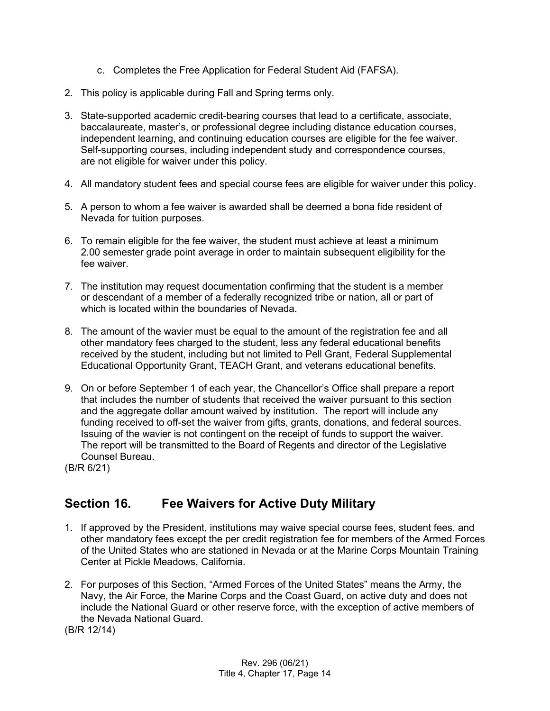- c. Completes the Free Application for Federal Student Aid (FAFSA).
- 2. This policy is applicable during Fall and Spring terms only.
- 3. State-supported academic credit-bearing courses that lead to a certificate, associate, baccalaureate, master's, or professional degree including distance education courses, independent learning, and continuing education courses are eligible for the fee waiver. Self-supporting courses, including independent study and correspondence courses, are not eligible for waiver under this policy.
- 4. All mandatory student fees and special course fees are eligible for waiver under this policy.
- 5. A person to whom a fee waiver is awarded shall be deemed a bona fide resident of Nevada for tuition purposes.
- 6. To remain eligible for the fee waiver, the student must achieve at least a minimum 2.00 semester grade point average in order to maintain subsequent eligibility for the fee waiver.
- 7. The institution may request documentation confirming that the student is a member or descendant of a member of a federally recognized tribe or nation, all or part of which is located within the boundaries of Nevada.
- 8. The amount of the wavier must be equal to the amount of the registration fee and all other mandatory fees charged to the student, less any federal educational benefits received by the student, including but not limited to Pell Grant, Federal Supplemental Educational Opportunity Grant, TEACH Grant, and veterans educational benefits.
- 9. On or before September 1 of each year, the Chancellor's Office shall prepare a report that includes the number of students that received the waiver pursuant to this section and the aggregate dollar amount waived by institution. The report will include any funding received to off-set the waiver from gifts, grants, donations, and federal sources. Issuing of the wavier is not contingent on the receipt of funds to support the waiver. The report will be transmitted to the Board of Regents and director of the Legislative Counsel Bureau.

(B/R 6/21)

## <span id="page-13-0"></span>**Section 16. Fee Waivers for Active Duty Military**

- 1. If approved by the President, institutions may waive special course fees, student fees, and other mandatory fees except the per credit registration fee for members of the Armed Forces of the United States who are stationed in Nevada or at the Marine Corps Mountain Training Center at Pickle Meadows, California.
- 2. For purposes of this Section, "Armed Forces of the United States" means the Army, the Navy, the Air Force, the Marine Corps and the Coast Guard, on active duty and does not include the National Guard or other reserve force, with the exception of active members of the Nevada National Guard.

(B/R 12/14)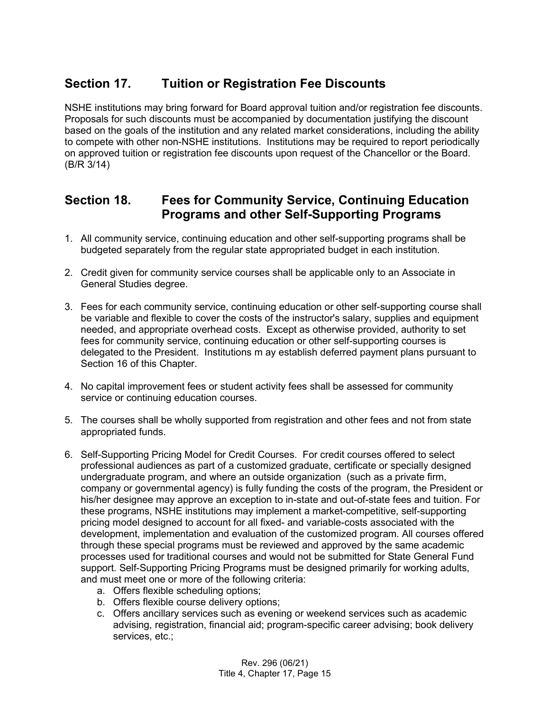## <span id="page-14-0"></span>**Section 17. Tuition or Registration Fee Discounts**

NSHE institutions may bring forward for Board approval tuition and/or registration fee discounts. Proposals for such discounts must be accompanied by documentation justifying the discount based on the goals of the institution and any related market considerations, including the ability to compete with other non-NSHE institutions. Institutions may be required to report periodically on approved tuition or registration fee discounts upon request of the Chancellor or the Board. (B/R 3/14)

#### <span id="page-14-1"></span>**Section 18. Fees for Community Service, Continuing Education Programs and other Self-Supporting Programs**

- 1. All community service, continuing education and other self-supporting programs shall be budgeted separately from the regular state appropriated budget in each institution.
- 2. Credit given for community service courses shall be applicable only to an Associate in General Studies degree.
- 3. Fees for each community service, continuing education or other self-supporting course shall be variable and flexible to cover the costs of the instructor's salary, supplies and equipment needed, and appropriate overhead costs. Except as otherwise provided, authority to set fees for community service, continuing education or other self-supporting courses is delegated to the President. Institutions m ay establish deferred payment plans pursuant to Section 16 of this Chapter.
- 4. No capital improvement fees or student activity fees shall be assessed for community service or continuing education courses.
- 5. The courses shall be wholly supported from registration and other fees and not from state appropriated funds.
- 6. Self-Supporting Pricing Model for Credit Courses. For credit courses offered to select professional audiences as part of a customized graduate, certificate or specially designed undergraduate program, and where an outside organization (such as a private firm, company or governmental agency) is fully funding the costs of the program, the President or his/her designee may approve an exception to in-state and out-of-state fees and tuition. For these programs, NSHE institutions may implement a market-competitive, self-supporting pricing model designed to account for all fixed- and variable-costs associated with the development, implementation and evaluation of the customized program. All courses offered through these special programs must be reviewed and approved by the same academic processes used for traditional courses and would not be submitted for State General Fund support. Self-Supporting Pricing Programs must be designed primarily for working adults, and must meet one or more of the following criteria:
	- a. Offers flexible scheduling options;
	- b. Offers flexible course delivery options;
	- c. Offers ancillary services such as evening or weekend services such as academic advising, registration, financial aid; program-specific career advising; book delivery services, etc.;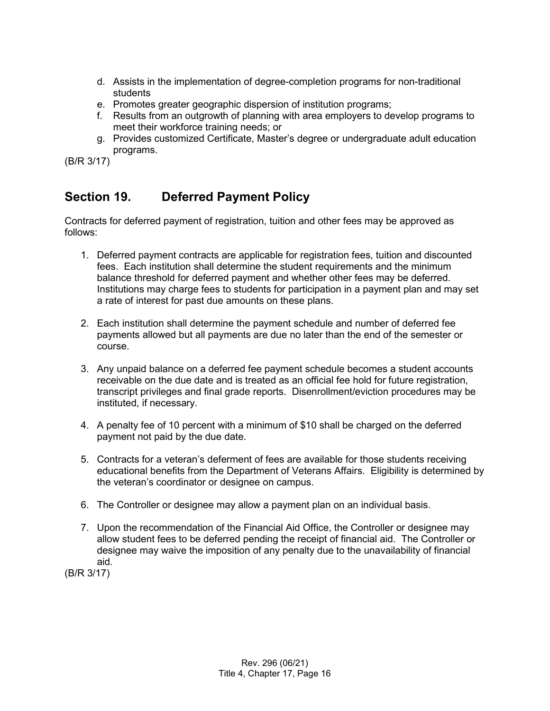- d. Assists in the implementation of degree-completion programs for non-traditional students
- e. Promotes greater geographic dispersion of institution programs;
- f. Results from an outgrowth of planning with area employers to develop programs to meet their workforce training needs; or
- g. Provides customized Certificate, Master's degree or undergraduate adult education programs.

(B/R 3/17)

## <span id="page-15-0"></span>**Section 19. Deferred Payment Policy**

Contracts for deferred payment of registration, tuition and other fees may be approved as follows:

- 1. Deferred payment contracts are applicable for registration fees, tuition and discounted fees. Each institution shall determine the student requirements and the minimum balance threshold for deferred payment and whether other fees may be deferred. Institutions may charge fees to students for participation in a payment plan and may set a rate of interest for past due amounts on these plans.
- 2. Each institution shall determine the payment schedule and number of deferred fee payments allowed but all payments are due no later than the end of the semester or course.
- 3. Any unpaid balance on a deferred fee payment schedule becomes a student accounts receivable on the due date and is treated as an official fee hold for future registration, transcript privileges and final grade reports. Disenrollment/eviction procedures may be instituted, if necessary.
- 4. A penalty fee of 10 percent with a minimum of \$10 shall be charged on the deferred payment not paid by the due date.
- 5. Contracts for a veteran's deferment of fees are available for those students receiving educational benefits from the Department of Veterans Affairs. Eligibility is determined by the veteran's coordinator or designee on campus.
- 6. The Controller or designee may allow a payment plan on an individual basis.
- 7. Upon the recommendation of the Financial Aid Office, the Controller or designee may allow student fees to be deferred pending the receipt of financial aid. The Controller or designee may waive the imposition of any penalty due to the unavailability of financial aid.

(B/R 3/17)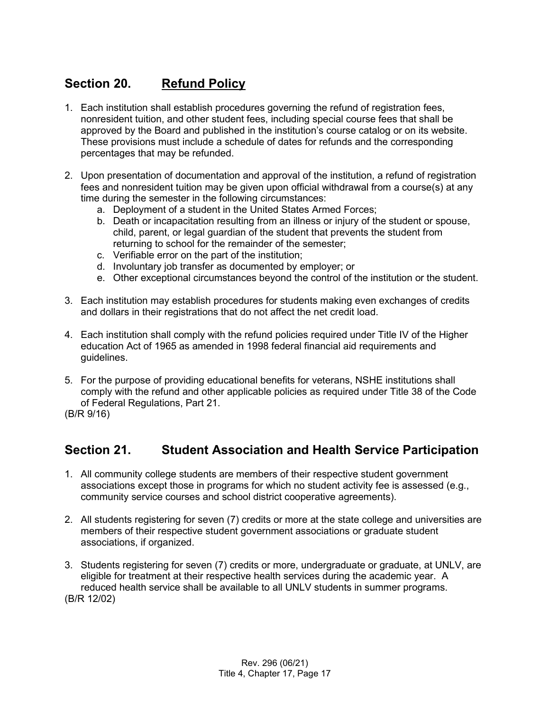## <span id="page-16-0"></span>**Section 20. Refund Policy**

- 1. Each institution shall establish procedures governing the refund of registration fees, nonresident tuition, and other student fees, including special course fees that shall be approved by the Board and published in the institution's course catalog or on its website. These provisions must include a schedule of dates for refunds and the corresponding percentages that may be refunded.
- 2. Upon presentation of documentation and approval of the institution, a refund of registration fees and nonresident tuition may be given upon official withdrawal from a course(s) at any time during the semester in the following circumstances:
	- a. Deployment of a student in the United States Armed Forces;
	- b. Death or incapacitation resulting from an illness or injury of the student or spouse, child, parent, or legal guardian of the student that prevents the student from returning to school for the remainder of the semester;
	- c. Verifiable error on the part of the institution;
	- d. Involuntary job transfer as documented by employer; or
	- e. Other exceptional circumstances beyond the control of the institution or the student.
- 3. Each institution may establish procedures for students making even exchanges of credits and dollars in their registrations that do not affect the net credit load.
- 4. Each institution shall comply with the refund policies required under Title IV of the Higher education Act of 1965 as amended in 1998 federal financial aid requirements and guidelines.
- 5. For the purpose of providing educational benefits for veterans, NSHE institutions shall comply with the refund and other applicable policies as required under Title 38 of the Code of Federal Regulations, Part 21.
- (B/R 9/16)

#### <span id="page-16-1"></span>**Section 21. Student Association and Health Service Participation**

- 1. All community college students are members of their respective student government associations except those in programs for which no student activity fee is assessed (e.g., community service courses and school district cooperative agreements).
- 2. All students registering for seven (7) credits or more at the state college and universities are members of their respective student government associations or graduate student associations, if organized.
- 3. Students registering for seven (7) credits or more, undergraduate or graduate, at UNLV, are eligible for treatment at their respective health services during the academic year. A reduced health service shall be available to all UNLV students in summer programs. (B/R 12/02)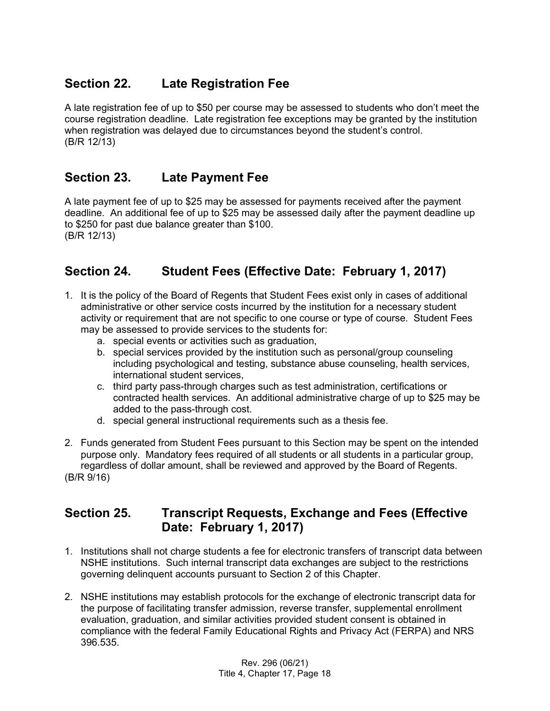## <span id="page-17-0"></span>**Section 22. Late Registration Fee**

A late registration fee of up to \$50 per course may be assessed to students who don't meet the course registration deadline. Late registration fee exceptions may be granted by the institution when registration was delayed due to circumstances beyond the student's control. (B/R 12/13)

## <span id="page-17-1"></span>**Section 23. Late Payment Fee**

A late payment fee of up to \$25 may be assessed for payments received after the payment deadline. An additional fee of up to \$25 may be assessed daily after the payment deadline up to \$250 for past due balance greater than \$100. (B/R 12/13)

## <span id="page-17-2"></span>**Section 24. Student Fees (Effective Date: February 1, 2017)**

- 1. It is the policy of the Board of Regents that Student Fees exist only in cases of additional administrative or other service costs incurred by the institution for a necessary student activity or requirement that are not specific to one course or type of course. Student Fees may be assessed to provide services to the students for:
	- a. special events or activities such as graduation,
	- b. special services provided by the institution such as personal/group counseling including psychological and testing, substance abuse counseling, health services, international student services,
	- c. third party pass-through charges such as test administration, certifications or contracted health services. An additional administrative charge of up to \$25 may be added to the pass-through cost.
	- d. special general instructional requirements such as a thesis fee.
- 2. Funds generated from Student Fees pursuant to this Section may be spent on the intended purpose only. Mandatory fees required of all students or all students in a particular group, regardless of dollar amount, shall be reviewed and approved by the Board of Regents. (B/R 9/16)

#### <span id="page-17-3"></span>**Section 25. Transcript Requests, Exchange and Fees (Effective Date: February 1, 2017)**

- 1. Institutions shall not charge students a fee for electronic transfers of transcript data between NSHE institutions. Such internal transcript data exchanges are subject to the restrictions governing delinquent accounts pursuant to Section 2 of this Chapter.
- 2. NSHE institutions may establish protocols for the exchange of electronic transcript data for the purpose of facilitating transfer admission, reverse transfer, supplemental enrollment evaluation, graduation, and similar activities provided student consent is obtained in compliance with the federal Family Educational Rights and Privacy Act (FERPA) and NRS 396.535.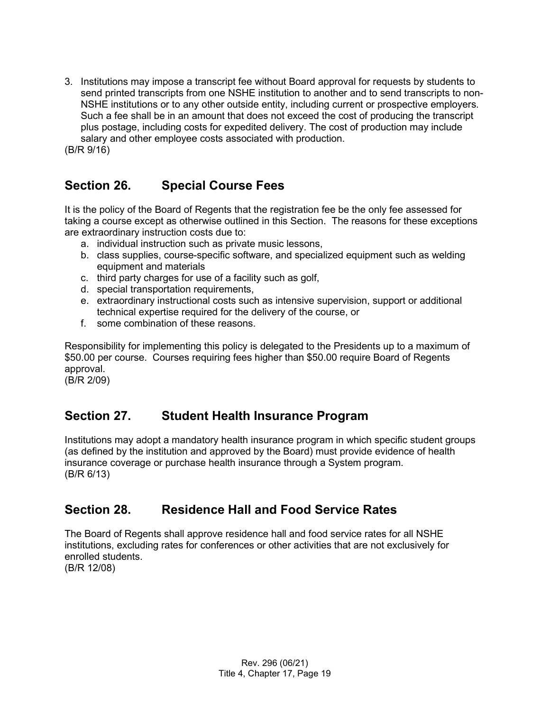3. Institutions may impose a transcript fee without Board approval for requests by students to send printed transcripts from one NSHE institution to another and to send transcripts to non-NSHE institutions or to any other outside entity, including current or prospective employers. Such a fee shall be in an amount that does not exceed the cost of producing the transcript plus postage, including costs for expedited delivery. The cost of production may include salary and other employee costs associated with production. (B/R 9/16)

# <span id="page-18-0"></span>**Section 26. Special Course Fees**

It is the policy of the Board of Regents that the registration fee be the only fee assessed for taking a course except as otherwise outlined in this Section. The reasons for these exceptions are extraordinary instruction costs due to:

- a. individual instruction such as private music lessons,
- b. class supplies, course-specific software, and specialized equipment such as welding equipment and materials
- c. third party charges for use of a facility such as golf,
- d. special transportation requirements,
- e. extraordinary instructional costs such as intensive supervision, support or additional technical expertise required for the delivery of the course, or
- f. some combination of these reasons.

Responsibility for implementing this policy is delegated to the Presidents up to a maximum of \$50.00 per course. Courses requiring fees higher than \$50.00 require Board of Regents approval.

(B/R 2/09)

# <span id="page-18-1"></span>**Section 27. Student Health Insurance Program**

Institutions may adopt a mandatory health insurance program in which specific student groups (as defined by the institution and approved by the Board) must provide evidence of health insurance coverage or purchase health insurance through a System program. (B/R 6/13)

# <span id="page-18-2"></span>**Section 28. Residence Hall and Food Service Rates**

The Board of Regents shall approve residence hall and food service rates for all NSHE institutions, excluding rates for conferences or other activities that are not exclusively for enrolled students.

(B/R 12/08)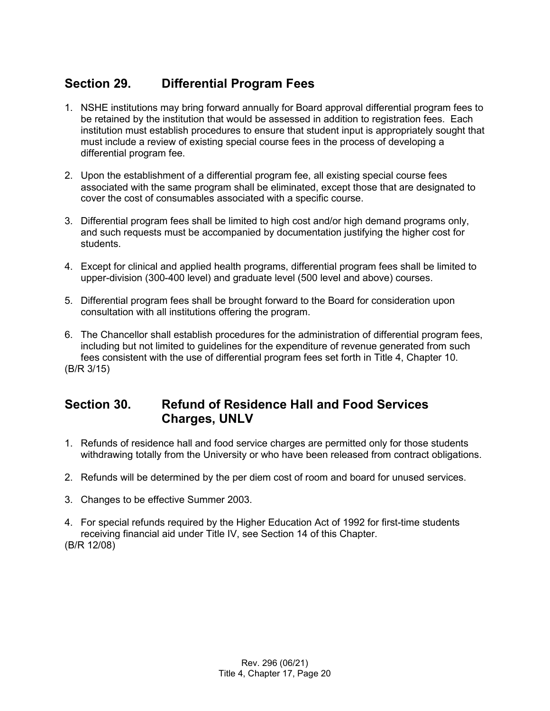## <span id="page-19-0"></span>**Section 29. Differential Program Fees**

- 1. NSHE institutions may bring forward annually for Board approval differential program fees to be retained by the institution that would be assessed in addition to registration fees. Each institution must establish procedures to ensure that student input is appropriately sought that must include a review of existing special course fees in the process of developing a differential program fee.
- 2. Upon the establishment of a differential program fee, all existing special course fees associated with the same program shall be eliminated, except those that are designated to cover the cost of consumables associated with a specific course.
- 3. Differential program fees shall be limited to high cost and/or high demand programs only, and such requests must be accompanied by documentation justifying the higher cost for students.
- 4. Except for clinical and applied health programs, differential program fees shall be limited to upper-division (300-400 level) and graduate level (500 level and above) courses.
- 5. Differential program fees shall be brought forward to the Board for consideration upon consultation with all institutions offering the program.
- 6. The Chancellor shall establish procedures for the administration of differential program fees, including but not limited to guidelines for the expenditure of revenue generated from such fees consistent with the use of differential program fees set forth in Title 4, Chapter 10. (B/R 3/15)

## <span id="page-19-1"></span>**Section 30. Refund of Residence Hall and Food Services Charges, UNLV**

- 1. Refunds of residence hall and food service charges are permitted only for those students withdrawing totally from the University or who have been released from contract obligations.
- 2. Refunds will be determined by the per diem cost of room and board for unused services.
- 3. Changes to be effective Summer 2003.
- 4. For special refunds required by the Higher Education Act of 1992 for first-time students receiving financial aid under Title IV, see Section 14 of this Chapter. (B/R 12/08)